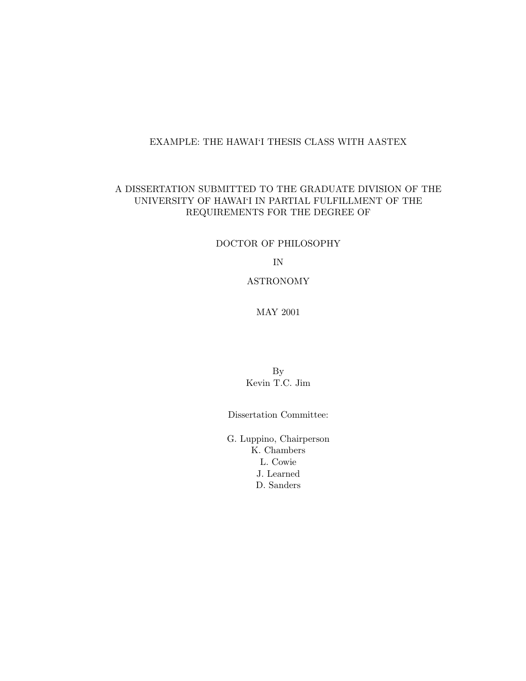#### EXAMPLE: THE HAWAI'I THESIS CLASS WITH AASTEX

#### A DISSERTATION SUBMITTED TO THE GRADUATE DIVISION OF THE UNIVERSITY OF HAWAI'I IN PARTIAL FULFILLMENT OF THE REQUIREMENTS FOR THE DEGREE OF

#### DOCTOR OF PHILOSOPHY

IN

#### ASTRONOMY

### MAY 2001

By Kevin T.C. Jim

Dissertation Committee:

G. Luppino, Chairperson K. Chambers L. Cowie J. Learned D. Sanders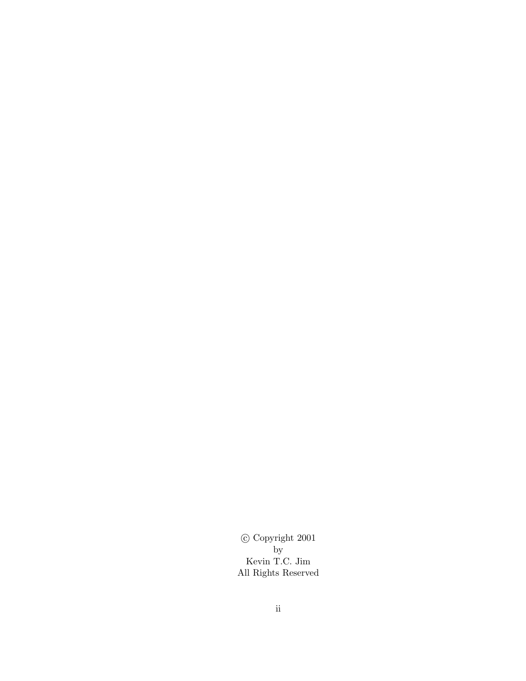c Copyright 2001 by Kevin T.C. Jim All Rights Reserved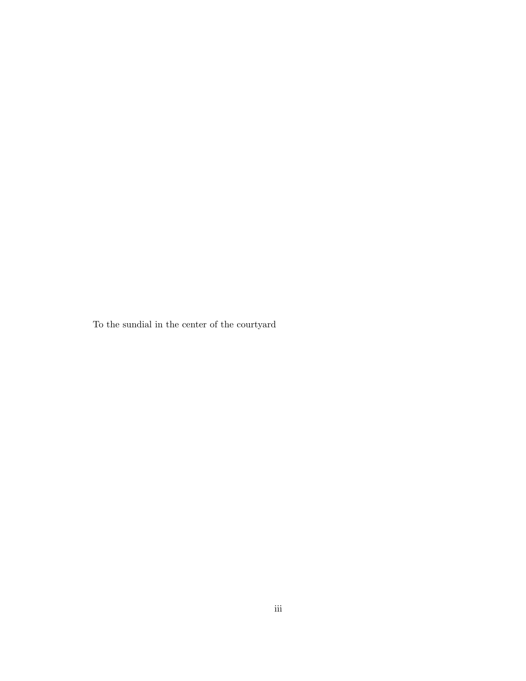To the sundial in the center of the courtyard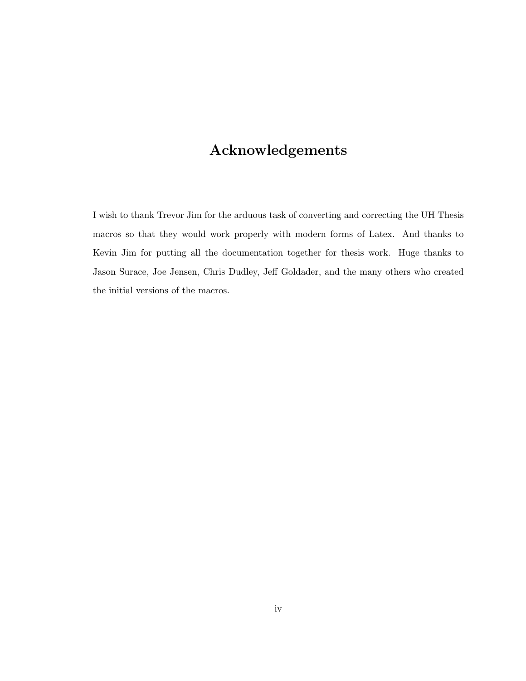# Acknowledgements

I wish to thank Trevor Jim for the arduous task of converting and correcting the UH Thesis macros so that they would work properly with modern forms of Latex. And thanks to Kevin Jim for putting all the documentation together for thesis work. Huge thanks to Jason Surace, Joe Jensen, Chris Dudley, Jeff Goldader, and the many others who created the initial versions of the macros.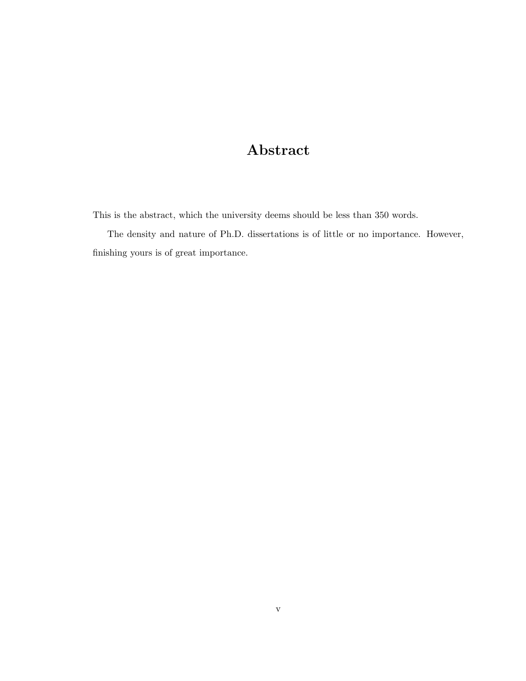# Abstract

This is the abstract, which the university deems should be less than 350 words.

The density and nature of Ph.D. dissertations is of little or no importance. However, finishing yours is of great importance.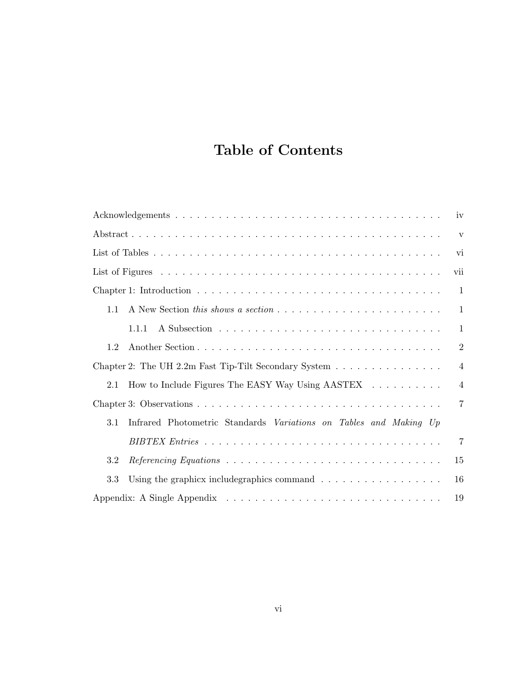# Table of Contents

|     | iv                                                                      |
|-----|-------------------------------------------------------------------------|
|     | $\overline{\mathbf{V}}$                                                 |
|     | vi                                                                      |
|     | vii                                                                     |
|     | $\mathbf{1}$                                                            |
| 1.1 | $\mathbf{1}$                                                            |
|     | $\mathbf{1}$<br>1.1.1                                                   |
| 1.2 | $\overline{2}$                                                          |
|     | $\overline{4}$<br>Chapter 2: The UH 2.2m Fast Tip-Tilt Secondary System |
| 2.1 | How to Include Figures The EASY Way Using AASTEX<br>$\overline{4}$      |
|     | $\overline{7}$                                                          |
| 3.1 | Infrared Photometric Standards Variations on Tables and Making Up       |
|     | $\overline{7}$                                                          |
| 3.2 | 15                                                                      |
| 3.3 | Using the graphics include<br>graphics command $\ldots$ ,<br>16         |
|     | 19                                                                      |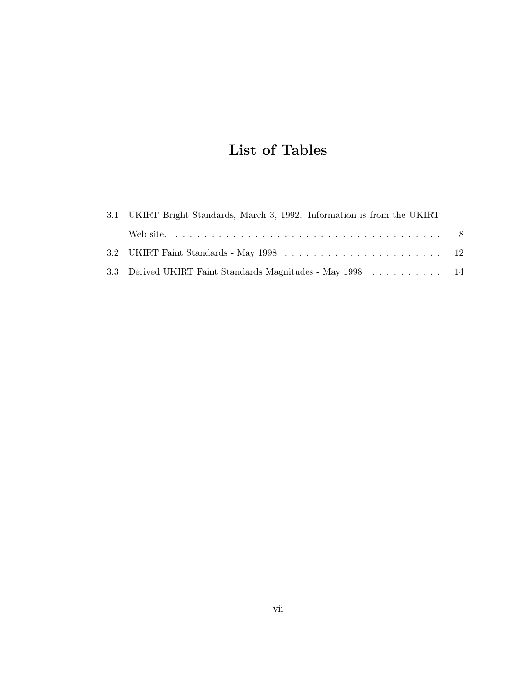# List of Tables

| 3.1 UKIRT Bright Standards, March 3, 1992. Information is from the UKIRT |  |
|--------------------------------------------------------------------------|--|
|                                                                          |  |
|                                                                          |  |
| 3.3 Derived UKIRT Faint Standards Magnitudes - May 1998 14               |  |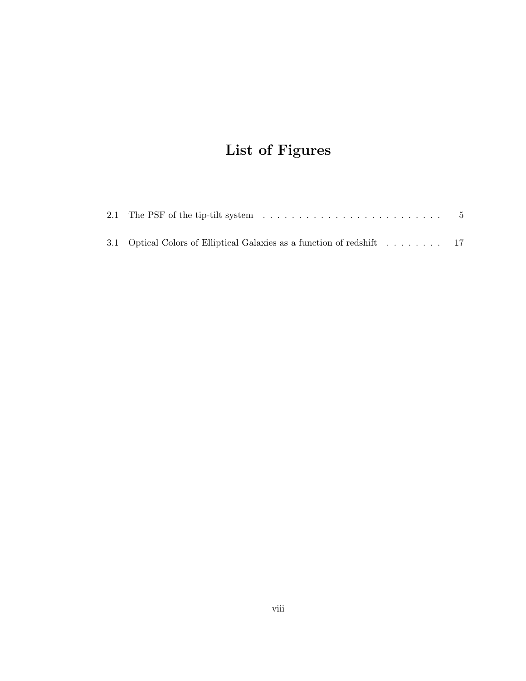# List of Figures

| 3.1 Optical Colors of Elliptical Galaxies as a function of redshift 17 |  |  |  |  |
|------------------------------------------------------------------------|--|--|--|--|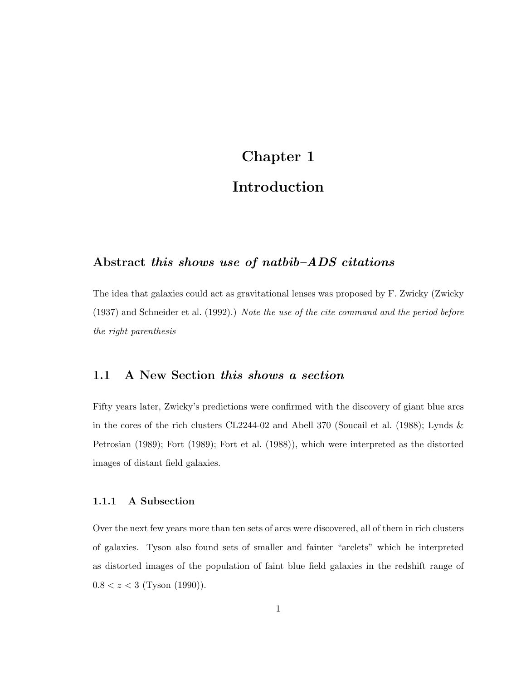# Chapter 1 Introduction

## Abstract this shows use of natbib–ADS citations

The idea that galaxies could act as gravitational lenses was proposed by F. Zwicky (Zwicky (1937) and Schneider et al. (1992).) Note the use of the cite command and the period before the right parenthesis

#### 1.1 A New Section this shows a section

Fifty years later, Zwicky's predictions were confirmed with the discovery of giant blue arcs in the cores of the rich clusters CL2244-02 and Abell 370 (Soucail et al. (1988); Lynds & Petrosian (1989); Fort (1989); Fort et al. (1988)), which were interpreted as the distorted images of distant field galaxies.

#### 1.1.1 A Subsection

Over the next few years more than ten sets of arcs were discovered, all of them in rich clusters of galaxies. Tyson also found sets of smaller and fainter "arclets" which he interpreted as distorted images of the population of faint blue field galaxies in the redshift range of  $0.8 < z < 3$  (Tyson (1990)).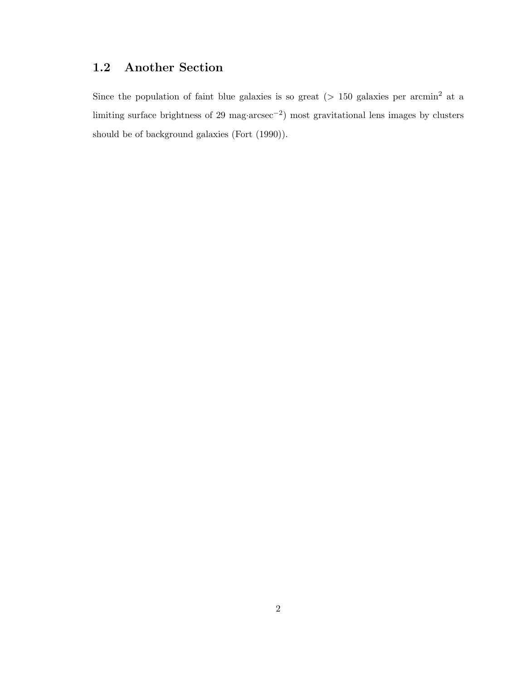## 1.2 Another Section

Since the population of faint blue galaxies is so great ( $> 150$  galaxies per arcmin<sup>2</sup> at a limiting surface brightness of 29 mag·arcsec−<sup>2</sup> ) most gravitational lens images by clusters should be of background galaxies (Fort (1990)).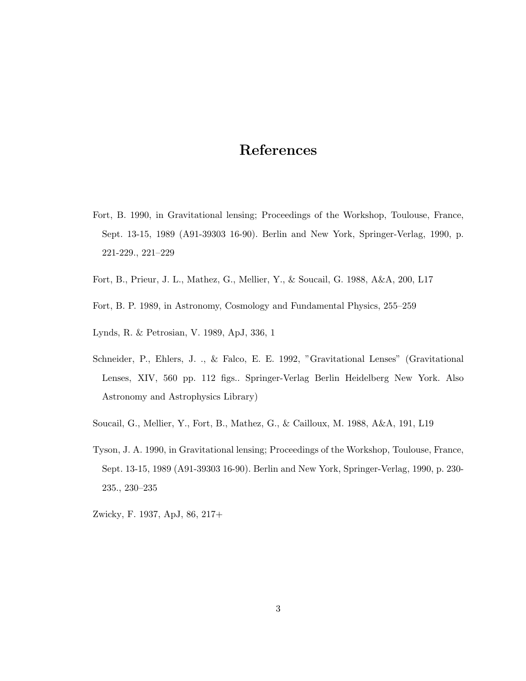## References

- Fort, B. 1990, in Gravitational lensing; Proceedings of the Workshop, Toulouse, France, Sept. 13-15, 1989 (A91-39303 16-90). Berlin and New York, Springer-Verlag, 1990, p. 221-229., 221–229
- Fort, B., Prieur, J. L., Mathez, G., Mellier, Y., & Soucail, G. 1988, A&A, 200, L17
- Fort, B. P. 1989, in Astronomy, Cosmology and Fundamental Physics, 255–259
- Lynds, R. & Petrosian, V. 1989, ApJ, 336, 1
- Schneider, P., Ehlers, J. ., & Falco, E. E. 1992, "Gravitational Lenses" (Gravitational Lenses, XIV, 560 pp. 112 figs.. Springer-Verlag Berlin Heidelberg New York. Also Astronomy and Astrophysics Library)
- Soucail, G., Mellier, Y., Fort, B., Mathez, G., & Cailloux, M. 1988, A&A, 191, L19
- Tyson, J. A. 1990, in Gravitational lensing; Proceedings of the Workshop, Toulouse, France, Sept. 13-15, 1989 (A91-39303 16-90). Berlin and New York, Springer-Verlag, 1990, p. 230- 235., 230–235
- Zwicky, F. 1937, ApJ, 86, 217+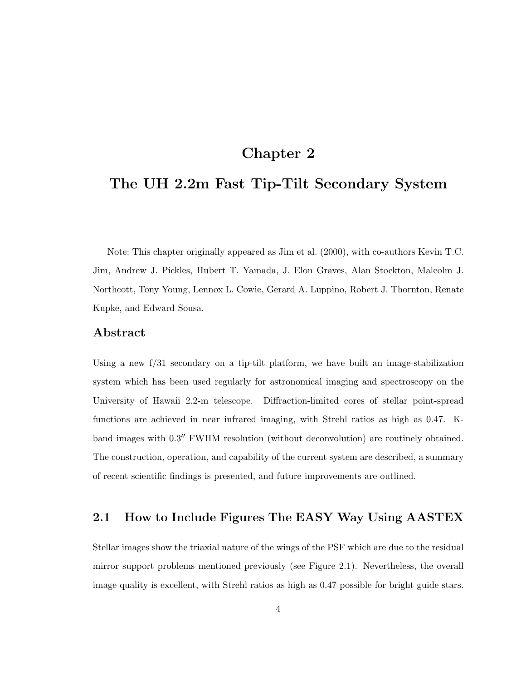## Chapter 2

## The UH 2.2m Fast Tip-Tilt Secondary System

Note: This chapter originally appeared as Jim et al. (2000), with co-authors Kevin T.C. Jim, Andrew J. Pickles, Hubert T. Yamada, J. Elon Graves, Alan Stockton, Malcolm J. Northcott, Tony Young, Lennox L. Cowie, Gerard A. Luppino, Robert J. Thornton, Renate Kupke, and Edward Sousa.

### Abstract

Using a new f/31 secondary on a tip-tilt platform, we have built an image-stabilization system which has been used regularly for astronomical imaging and spectroscopy on the University of Hawaii 2.2-m telescope. Diffraction-limited cores of stellar point-spread functions are achieved in near infrared imaging, with Strehl ratios as high as 0.47. Kband images with  $0.3''$  FWHM resolution (without deconvolution) are routinely obtained. The construction, operation, and capability of the current system are described, a summary of recent scientific findings is presented, and future improvements are outlined.

### 2.1 How to Include Figures The EASY Way Using AASTEX

Stellar images show the triaxial nature of the wings of the PSF which are due to the residual mirror support problems mentioned previously (see Figure 2.1). Nevertheless, the overall image quality is excellent, with Strehl ratios as high as 0.47 possible for bright guide stars.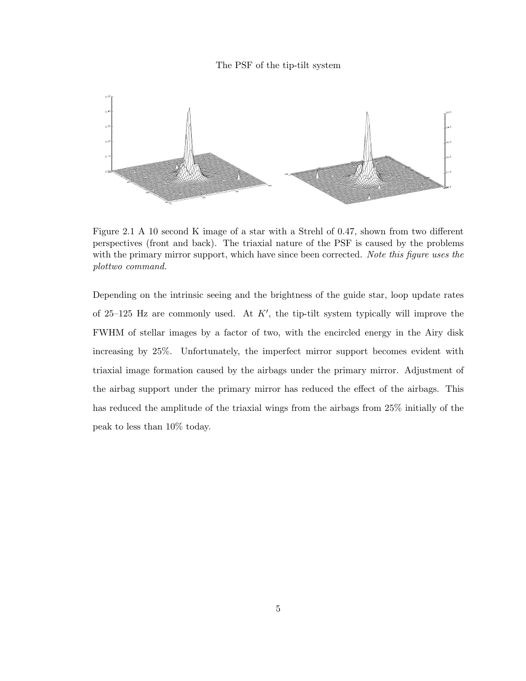#### The PSF of the tip-tilt system



Figure 2.1 A 10 second K image of a star with a Strehl of 0.47, shown from two different perspectives (front and back). The triaxial nature of the PSF is caused by the problems with the primary mirror support, which have since been corrected. Note this figure uses the plottwo command.

Depending on the intrinsic seeing and the brightness of the guide star, loop update rates of 25–125 Hz are commonly used. At  $K'$ , the tip-tilt system typically will improve the FWHM of stellar images by a factor of two, with the encircled energy in the Airy disk increasing by 25%. Unfortunately, the imperfect mirror support becomes evident with triaxial image formation caused by the airbags under the primary mirror. Adjustment of the airbag support under the primary mirror has reduced the effect of the airbags. This has reduced the amplitude of the triaxial wings from the airbags from 25% initially of the peak to less than 10% today.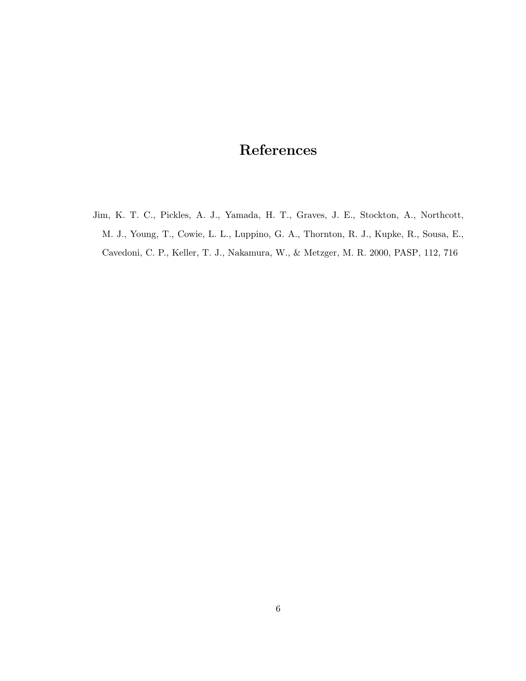# References

Jim, K. T. C., Pickles, A. J., Yamada, H. T., Graves, J. E., Stockton, A., Northcott, M. J., Young, T., Cowie, L. L., Luppino, G. A., Thornton, R. J., Kupke, R., Sousa, E., Cavedoni, C. P., Keller, T. J., Nakamura, W., & Metzger, M. R. 2000, PASP, 112, 716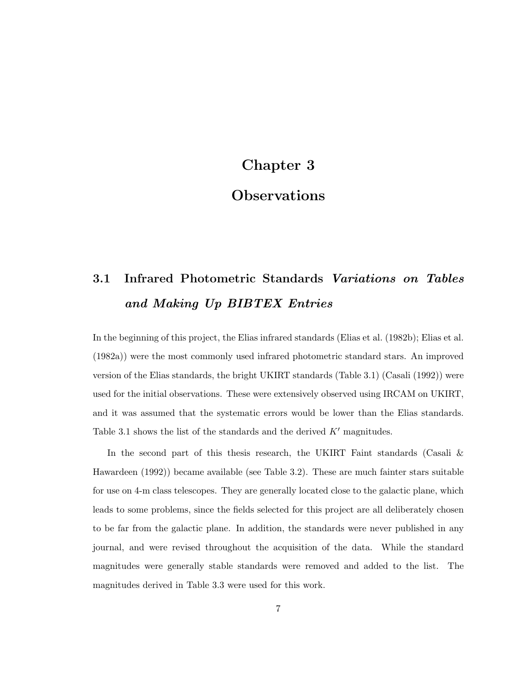## Chapter 3

## **Observations**

# 3.1 Infrared Photometric Standards Variations on Tables and Making Up BIBTEX Entries

In the beginning of this project, the Elias infrared standards (Elias et al. (1982b); Elias et al. (1982a)) were the most commonly used infrared photometric standard stars. An improved version of the Elias standards, the bright UKIRT standards (Table 3.1) (Casali (1992)) were used for the initial observations. These were extensively observed using IRCAM on UKIRT, and it was assumed that the systematic errors would be lower than the Elias standards. Table 3.1 shows the list of the standards and the derived  $K'$  magnitudes.

In the second part of this thesis research, the UKIRT Faint standards (Casali & Hawardeen (1992)) became available (see Table 3.2). These are much fainter stars suitable for use on 4-m class telescopes. They are generally located close to the galactic plane, which leads to some problems, since the fields selected for this project are all deliberately chosen to be far from the galactic plane. In addition, the standards were never published in any journal, and were revised throughout the acquisition of the data. While the standard magnitudes were generally stable standards were removed and added to the list. The magnitudes derived in Table 3.3 were used for this work.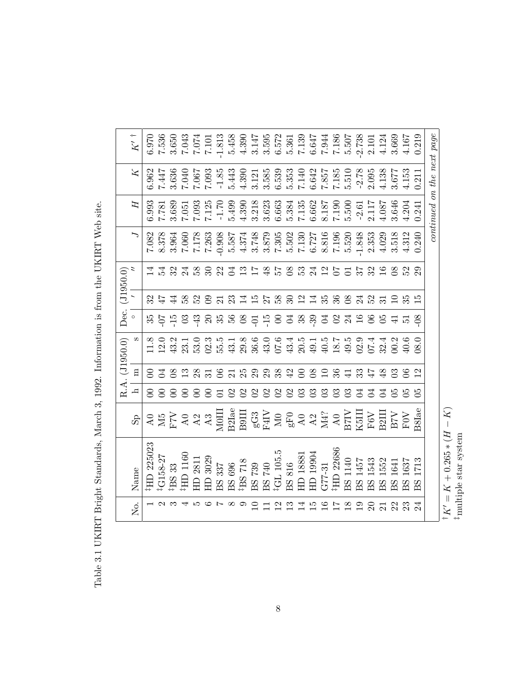|                | $K^{\prime}$ †<br>Z      |                |                  |                |                | $\begin{array}{l} 6.970 \\ 7.536 \\ 3.650 \\ 7.043 \\ 7.043 \\ \end{array}$ |                               | <b>1.813</b>                                      |          |                                                                                                                                                                                                                                                  |                            |                                |                |                                      |                          |                |                  |                                                  |                |                                                                 | 5.458<br>4.390<br>4.3595<br>5.572<br>5.507<br>5.507<br>5.507<br>5.507 | 2.738<br>2.101                                                                                                                                                                                                                                                                                                                                                                                                                                                        |                     | 3.669<br>4.124 | 4.167              |                          | continued on the next page |
|----------------|--------------------------|----------------|------------------|----------------|----------------|-----------------------------------------------------------------------------|-------------------------------|---------------------------------------------------|----------|--------------------------------------------------------------------------------------------------------------------------------------------------------------------------------------------------------------------------------------------------|----------------------------|--------------------------------|----------------|--------------------------------------|--------------------------|----------------|------------------|--------------------------------------------------|----------------|-----------------------------------------------------------------|-----------------------------------------------------------------------|-----------------------------------------------------------------------------------------------------------------------------------------------------------------------------------------------------------------------------------------------------------------------------------------------------------------------------------------------------------------------------------------------------------------------------------------------------------------------|---------------------|----------------|--------------------|--------------------------|----------------------------|
|                |                          | 5.962          | 7447             |                | 3.636<br>7.040 | 730.7                                                                       | 7.093                         | $-1.85$                                           | 5.443    | 4.390                                                                                                                                                                                                                                            |                            | $3.121$<br>$3.585$<br>$6.539$  |                | $5.353$<br>$7.140$                   |                          |                |                  |                                                  |                | $\begin{array}{c} 6.642 \\ 7.857 \\ 7.185 \\ 5.510 \end{array}$ |                                                                       | $-2.78$<br>2.095                                                                                                                                                                                                                                                                                                                                                                                                                                                      | 4.138               |                | $3.677$<br>4.153   | 0.211                    |                            |
|                | Ξ                        | 5.993          | 182.7            |                | 3.689<br>7.051 | 7.093                                                                       | 7.125                         | $-1.70$                                           | 5.499    | 4.390                                                                                                                                                                                                                                            | 3.218<br>3.623             |                                |                | $\frac{6.663}{5.384}$                |                          | 6.662          | 7.190<br>7.190   |                                                  |                | 5.500                                                           | $-2.61$                                                               | 2.117                                                                                                                                                                                                                                                                                                                                                                                                                                                                 | 1.087               | 3.646          | 4.204              |                          |                            |
|                | $\overline{\phantom{0}}$ | 7.082          | 8.378            | 3.964          | 7.060          |                                                                             | $7.178$<br>$7.263$<br>$0.908$ |                                                   | 5.587    | 4.374                                                                                                                                                                                                                                            | 3.748<br>3.879             |                                |                | $7.305$<br>$5.502$<br>$7.130$        |                          | 6.727          | $8.816$<br>7.196 |                                                  |                | 5.520                                                           | $-1.848$                                                              | 2.353                                                                                                                                                                                                                                                                                                                                                                                                                                                                 | 4.029               | 3.518          | 4.312              |                          |                            |
| (0.0350.0)     | 2                        |                | 24               | 32             |                | $\frac{4}{3}$ $\frac{8}{3}$                                                 | $\mathbb{S}^2$                | 22                                                | 몸        | $\mathbb{C}$                                                                                                                                                                                                                                     | $\overline{17}$            | $\frac{8}{5}$                  |                | 57                                   |                          |                | 33125            |                                                  |                | $\overline{C}$                                                  | 57                                                                    | 32                                                                                                                                                                                                                                                                                                                                                                                                                                                                    | $\frac{6}{1}$       |                |                    | $\mathbb{S}^2$           |                            |
|                |                          |                |                  | $\frac{4}{4}$  | 582            |                                                                             | $\mathfrak{S}$                |                                                   | 23       | 14528                                                                                                                                                                                                                                            |                            |                                |                | $30\,$                               |                          |                | 2145             | $36\,$                                           |                | $\infty$                                                        | $\mathbb{Z}^4$                                                        | 52                                                                                                                                                                                                                                                                                                                                                                                                                                                                    |                     |                |                    | ഥ                        |                            |
| Dec.           | $\circ$                  |                |                  | $-15$          | $\mathbb{S}$   | -43                                                                         |                               |                                                   |          | 8888                                                                                                                                                                                                                                             |                            | $\frac{5}{10}$ $\frac{15}{10}$ |                | $\Xi$                                | 38                       | 39             | $\Xi$            | $\mathcal{O}$                                    |                |                                                                 |                                                                       | 24.6<br>$\infty$                                                                                                                                                                                                                                                                                                                                                                                                                                                      | පි                  |                | r.                 | 80                       |                            |
| R.A. (J1950.0) | S                        | $\frac{8}{11}$ | $12.0$<br>$43.2$ |                | 23.1           | 53.0                                                                        |                               | $\begin{array}{c} 2.3 \\ 5.5 \\ 43.1 \end{array}$ |          |                                                                                                                                                                                                                                                  | $29.8$<br>$36.0$<br>$43.0$ |                                |                | $07.6$<br>$43.4$<br>$20.5$<br>$49.1$ |                          |                |                  | $\begin{array}{c} 4.5 \\ 1.8 \\ 4.5 \end{array}$ |                |                                                                 |                                                                       | 07.4<br>02.9                                                                                                                                                                                                                                                                                                                                                                                                                                                          | 32.4                | 00.2           |                    | 0.80                     |                            |
|                | $\overline{\textbf{n}}$  | $\approx$      | Ħ                | 8 <sup>o</sup> | $\mathbf{r}$   | 28                                                                          |                               | $\approx$                                         |          | 25                                                                                                                                                                                                                                               | 29                         | 29                             | 38             | 42                                   | $\approx$                | 80             |                  | 36                                               | $\Xi$          |                                                                 | 33                                                                    | 47                                                                                                                                                                                                                                                                                                                                                                                                                                                                    | $\frac{8}{3}$       |                |                    | $\overline{\mathcal{C}}$ |                            |
|                | h                        | 8              | 8                | 8              | 8              | 8                                                                           | 8                             |                                                   |          | $\mathbf{C}$                                                                                                                                                                                                                                     | $\mathbf{S}$               | $\mathfrak{S}$                 | $\mathfrak{S}$ | $\mathfrak{S}$                       | $\mathbb{S}$             | $\mathbb{S}$   | $\mathbb{S}$     | $\mathbb{S}^3$                                   | $\mathbb{S}$   |                                                                 | Z,                                                                    | $\mathbb{Z}$                                                                                                                                                                                                                                                                                                                                                                                                                                                          | $\Xi$               |                |                    | 50                       |                            |
|                | S <sub>P</sub>           |                |                  |                |                |                                                                             |                               |                                                   |          |                                                                                                                                                                                                                                                  |                            |                                |                |                                      |                          |                |                  |                                                  |                |                                                                 |                                                                       | $\begin{array}{l} \texttt{AG} \\ \texttt{AG} \\ \texttt{AG} \\ \texttt{AG} \\ \texttt{AG} \\ \texttt{AG} \\ \texttt{AG} \\ \texttt{G} \\ \texttt{G} \\ \texttt{G} \\ \texttt{G} \\ \texttt{G} \\ \texttt{G} \\ \texttt{G} \\ \texttt{G} \\ \texttt{G} \\ \texttt{G} \\ \texttt{G} \\ \texttt{G} \\ \texttt{G} \\ \texttt{G} \\ \texttt{G} \\ \texttt{G} \\ \texttt{G} \\ \texttt{G} \\ \texttt{G} \\ \texttt{G} \\ \texttt{G} \\ \texttt{G} \\ \texttt{G} \\ \texttt$ | <b>B2III</b>        |                | <b>AOA</b><br>ALSE | B8Iae                    |                            |
|                | Name                     | HD 225023      | G158-27          | BS 33          | HD 1160        | 2811                                                                        | $\overline{1}D$ 3029          |                                                   |          | $\begin{array}{l} \text{BS} \text{ } 337 \\ \text{BS} \text{ } 696 \\ \text{ } 1 \text{BS} \text{ } 718 \\ \text{ } 1 \text{BS} \text{ } 739 \\ \text{ } 1 \text{CS} \text{ } 740 \\ \text{ } 1 \text{CS} \text{ } 1 \text{ } 105.5 \end{array}$ |                            |                                |                | <b>BS 816</b>                        | HD 18881                 | HD 19904       | $G77-31$         | HD 22686                                         | 140<br>$-55$   | BS 1457                                                         |                                                                       | 1543<br>BS                                                                                                                                                                                                                                                                                                                                                                                                                                                            | 1552<br>8S          | 1641<br>BS     | 1637<br>BS         | 1713<br>SS               |                            |
|                | Σ.                       |                |                  |                |                | LО                                                                          | ం                             | $\overline{ }$                                    | $\infty$ | ౧                                                                                                                                                                                                                                                | $\Xi$                      |                                | $\mathfrak{D}$ | $\mathbb{C}$                         | $\overline{\mathcal{A}}$ | $\overline{5}$ | $\Xi$            |                                                  | $\frac{8}{10}$ | $\mathbf{5}$                                                    |                                                                       | $\Omega$                                                                                                                                                                                                                                                                                                                                                                                                                                                              | $\overline{\Omega}$ | 22             | $\mathbb{S}^2$     |                          |                            |

Table 3.1 UKIRT Bright Standards, March 3, 1992. Information is from the UKIRT Web site. Table 3.1 UKIRT Bright Standards, March 3, 1992. Information is from the UKIRT Web site.

 $\vdots$ 

 $K + 0.265 * (H$ 

‡multiple star system

 $\widetilde{K}$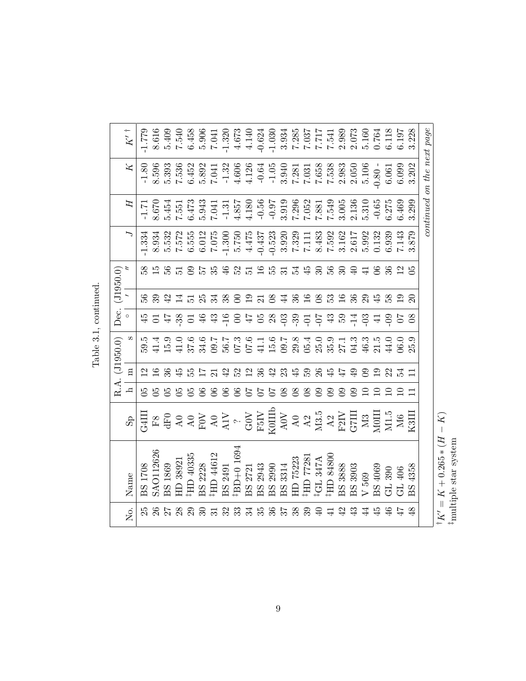|                                                                                                                                                                                                                                                                                                                                                                                                                                    |                |                 | R.A. (J1950.0)   | Dec.           |               | $($ $1950.0)$   |       |         |                               |       |
|------------------------------------------------------------------------------------------------------------------------------------------------------------------------------------------------------------------------------------------------------------------------------------------------------------------------------------------------------------------------------------------------------------------------------------|----------------|-----------------|------------------|----------------|---------------|-----------------|-------|---------|-------------------------------|-------|
| $\rm{d}_{\rm S}$                                                                                                                                                                                                                                                                                                                                                                                                                   | $\mathbf{p}$   | $\Xi$           | S                | $\circ$        |               |                 |       | H       | Z                             |       |
| $\begin{array}{l} \text{G4III}\\ \text{FB} \\ \text{G4} \\ \text{G5} \\ \text{G6} \\ \text{G7} \\ \text{G8} \\ \text{G8} \\ \text{G8} \\ \text{G8} \\ \text{G8} \\ \text{G8} \\ \text{G8} \\ \text{G8} \\ \text{G8} \\ \text{G8} \\ \text{G8} \\ \text{G8} \\ \text{G8} \\ \text{G8} \\ \text{G8} \\ \text{H8} \\ \text{G8} \\ \text{H8} \\ \text{H8} \\ \text{H8} \\ \text{H8} \\ \text{H8} \\ \text{H8} \\ \text{H8} \\ \text{H$ |                |                 |                  |                |               |                 | 1.334 | $-1.71$ | $-1.80$                       | 1.779 |
|                                                                                                                                                                                                                                                                                                                                                                                                                                    |                |                 |                  |                |               | 58<br>156<br>56 |       |         |                               |       |
|                                                                                                                                                                                                                                                                                                                                                                                                                                    |                |                 |                  |                | 42            |                 |       |         |                               |       |
|                                                                                                                                                                                                                                                                                                                                                                                                                                    |                | $\ddot{r}$      |                  |                |               |                 |       |         |                               |       |
|                                                                                                                                                                                                                                                                                                                                                                                                                                    |                | 55T             |                  | $\frac{38}{5}$ |               |                 |       |         |                               |       |
|                                                                                                                                                                                                                                                                                                                                                                                                                                    | S              |                 |                  | 46             |               | 57<br>35        |       |         |                               |       |
|                                                                                                                                                                                                                                                                                                                                                                                                                                    | 8              |                 |                  |                |               |                 |       |         |                               |       |
|                                                                                                                                                                                                                                                                                                                                                                                                                                    | $\infty$       | $\Xi$           |                  |                | $\frac{8}{3}$ | 46              |       |         |                               |       |
|                                                                                                                                                                                                                                                                                                                                                                                                                                    | $\infty$       | $\Omega$        |                  |                |               |                 |       |         |                               |       |
|                                                                                                                                                                                                                                                                                                                                                                                                                                    | 50             | $\frac{2}{36}$  |                  |                | $\Xi$         | 37595           |       |         |                               |       |
|                                                                                                                                                                                                                                                                                                                                                                                                                                    |                |                 |                  |                |               |                 |       |         |                               |       |
|                                                                                                                                                                                                                                                                                                                                                                                                                                    | 70             | $\ddot{ }$      |                  |                | $\infty$      |                 |       |         |                               |       |
|                                                                                                                                                                                                                                                                                                                                                                                                                                    | 8 <sup>o</sup> | 23              |                  |                | $\sharp 4$    |                 |       |         |                               |       |
|                                                                                                                                                                                                                                                                                                                                                                                                                                    | $8^{\circ}$    | $\frac{15}{5}$  |                  |                | 36            |                 |       |         |                               |       |
|                                                                                                                                                                                                                                                                                                                                                                                                                                    | 8 <sup>o</sup> |                 |                  |                | $\Xi$         | 374986          |       |         |                               |       |
|                                                                                                                                                                                                                                                                                                                                                                                                                                    | $\mathbf{S}$   | 26              |                  |                | $8^{\circ}$   |                 |       |         |                               |       |
|                                                                                                                                                                                                                                                                                                                                                                                                                                    | $\mathbf{S}$   | $\frac{45}{47}$ |                  |                | ှ္က           |                 |       |         |                               |       |
|                                                                                                                                                                                                                                                                                                                                                                                                                                    | $\mathbf{S}$   |                 |                  |                |               |                 |       |         |                               |       |
|                                                                                                                                                                                                                                                                                                                                                                                                                                    | 8              | $\overline{6}$  |                  |                | 36            |                 |       |         |                               |       |
|                                                                                                                                                                                                                                                                                                                                                                                                                                    | $\Xi$          | $\mathbf{S}$    |                  | 79879977977977 |               | 2948            |       |         |                               |       |
|                                                                                                                                                                                                                                                                                                                                                                                                                                    |                | $\overline{0}$  |                  |                |               |                 |       |         | $0.80 -$                      |       |
|                                                                                                                                                                                                                                                                                                                                                                                                                                    |                | 22              |                  | 5 S            |               | 36              |       |         |                               |       |
|                                                                                                                                                                                                                                                                                                                                                                                                                                    |                |                 | 0.0 <sub>0</sub> |                |               |                 |       |         | $6.061$<br>$6.099$<br>$3.202$ |       |
|                                                                                                                                                                                                                                                                                                                                                                                                                                    |                |                 | 25.9             | 80             |               |                 | 3.879 | 3.299   |                               |       |
|                                                                                                                                                                                                                                                                                                                                                                                                                                    |                |                 |                  |                |               |                 |       |         | continued on the next page    |       |

Table 3.1, continued. <br> <br> $\quad$ Table 3.1, continued.

> ${}^\dagger K' = K + 0.265*(H-K)$   ${}^\dagger \text{multiple star system}$  $\dagger K' = K + 0.265 * (H - K)$ ‡multiple star system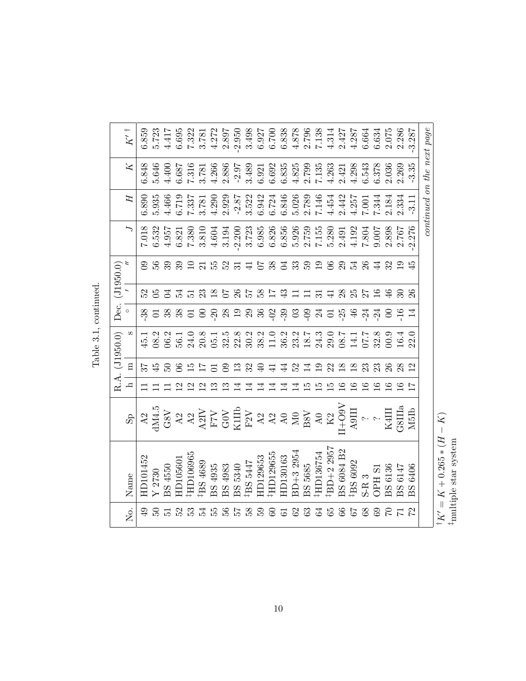|                                                       |                         |   |                     | R.A. (J1950.0)                                                                                                                         | Dec.                                                                                                                                                                                                                                                               |                | (0.02612)       |                           |                                                                                                                                                                                                                                 |                                                                                                                                                                                                                                                                                                               |       |
|-------------------------------------------------------|-------------------------|---|---------------------|----------------------------------------------------------------------------------------------------------------------------------------|--------------------------------------------------------------------------------------------------------------------------------------------------------------------------------------------------------------------------------------------------------------------|----------------|-----------------|---------------------------|---------------------------------------------------------------------------------------------------------------------------------------------------------------------------------------------------------------------------------|---------------------------------------------------------------------------------------------------------------------------------------------------------------------------------------------------------------------------------------------------------------------------------------------------------------|-------|
| Name                                                  | $\mathbf{g}_\mathbf{S}$ | h | $\Xi$               |                                                                                                                                        |                                                                                                                                                                                                                                                                    |                |                 |                           | 口                                                                                                                                                                                                                               | $\geq$                                                                                                                                                                                                                                                                                                        |       |
| HD101452                                              |                         |   |                     | 45.1                                                                                                                                   |                                                                                                                                                                                                                                                                    |                | $\mathbf{S}$    |                           | 6.890                                                                                                                                                                                                                           | 6.848                                                                                                                                                                                                                                                                                                         | 6.859 |
| $\Upsilon$ 2730                                       |                         |   |                     | 08.2                                                                                                                                   |                                                                                                                                                                                                                                                                    |                | 56              |                           | 5.935                                                                                                                                                                                                                           | 5.646                                                                                                                                                                                                                                                                                                         |       |
| BS 4550                                               |                         |   |                     |                                                                                                                                        | 32 5 32 33                                                                                                                                                                                                                                                         | $\Xi$          | 39              | $7.018$<br>6.532<br>4.957 | 4.466                                                                                                                                                                                                                           | 4.400                                                                                                                                                                                                                                                                                                         |       |
| HD105601                                              |                         |   |                     |                                                                                                                                        |                                                                                                                                                                                                                                                                    | 24             | 39              | 6.821                     | 6.719                                                                                                                                                                                                                           | 6.687                                                                                                                                                                                                                                                                                                         |       |
| HD106965                                              |                         |   |                     |                                                                                                                                        |                                                                                                                                                                                                                                                                    | 53.85          | $\Xi$           | 7.380                     |                                                                                                                                                                                                                                 |                                                                                                                                                                                                                                                                                                               |       |
| <sup>‡</sup> BS 4689                                  |                         |   |                     |                                                                                                                                        |                                                                                                                                                                                                                                                                    |                |                 | 3.810                     |                                                                                                                                                                                                                                 |                                                                                                                                                                                                                                                                                                               |       |
| BS 4935<br>BS 4983<br>BS 5340<br><sup>‡</sup> BS 5447 |                         |   |                     |                                                                                                                                        |                                                                                                                                                                                                                                                                    |                | $\frac{21}{55}$ | 4.604                     | $7.337$<br>$3.781$<br>$4.290$                                                                                                                                                                                                   |                                                                                                                                                                                                                                                                                                               |       |
|                                                       |                         |   | ഭ                   |                                                                                                                                        |                                                                                                                                                                                                                                                                    |                | 52              | 3.194                     |                                                                                                                                                                                                                                 |                                                                                                                                                                                                                                                                                                               |       |
|                                                       |                         |   | ≌                   |                                                                                                                                        |                                                                                                                                                                                                                                                                    |                | . ಇ. ಕ          |                           |                                                                                                                                                                                                                                 |                                                                                                                                                                                                                                                                                                               |       |
|                                                       |                         |   | 32                  |                                                                                                                                        |                                                                                                                                                                                                                                                                    | 750            |                 |                           |                                                                                                                                                                                                                                 |                                                                                                                                                                                                                                                                                                               |       |
| HD129653                                              |                         |   |                     |                                                                                                                                        |                                                                                                                                                                                                                                                                    | $\frac{8}{17}$ | 50              |                           |                                                                                                                                                                                                                                 |                                                                                                                                                                                                                                                                                                               |       |
| ER9655                                                |                         |   |                     |                                                                                                                                        |                                                                                                                                                                                                                                                                    |                | 38 Z            |                           |                                                                                                                                                                                                                                 |                                                                                                                                                                                                                                                                                                               |       |
| HD130163                                              |                         | ↽ | $\sharp$            |                                                                                                                                        |                                                                                                                                                                                                                                                                    | $\ddot{4}$     |                 |                           |                                                                                                                                                                                                                                 |                                                                                                                                                                                                                                                                                                               |       |
| $3D+32954$                                            |                         |   | $\Omega$            |                                                                                                                                        |                                                                                                                                                                                                                                                                    |                | 33              |                           |                                                                                                                                                                                                                                 |                                                                                                                                                                                                                                                                                                               |       |
| BS 5685<br>‡HD136754                                  |                         |   | 프                   |                                                                                                                                        |                                                                                                                                                                                                                                                                    |                | 59              |                           |                                                                                                                                                                                                                                 |                                                                                                                                                                                                                                                                                                               |       |
|                                                       |                         |   |                     |                                                                                                                                        |                                                                                                                                                                                                                                                                    |                | 28              |                           |                                                                                                                                                                                                                                 |                                                                                                                                                                                                                                                                                                               |       |
| BD+2 2957                                             |                         |   | 22                  |                                                                                                                                        |                                                                                                                                                                                                                                                                    |                |                 |                           |                                                                                                                                                                                                                                 |                                                                                                                                                                                                                                                                                                               |       |
| BS 6084 B2                                            |                         |   | $\overline{8}$      |                                                                                                                                        | $S$ $\tilde{\Omega}$ $\tilde{\Omega}$ $\tilde{\Omega}$ $\tilde{\Omega}$ $\tilde{\Omega}$ $\tilde{\Omega}$ $\tilde{\Omega}$ $\tilde{\Omega}$ $\tilde{\Omega}$ $\tilde{\Omega}$ $\tilde{\Omega}$ $\tilde{\Omega}$ $\tilde{\Omega}$ $\tilde{\Omega}$ $\tilde{\Omega}$ | 28             |                 |                           |                                                                                                                                                                                                                                 |                                                                                                                                                                                                                                                                                                               |       |
| $\mbox{}^{\ddag}\mbox{}BS$ 6092<br>S-R $3$            |                         |   | $\overline{\infty}$ |                                                                                                                                        |                                                                                                                                                                                                                                                                    | 25             | 23 24           |                           |                                                                                                                                                                                                                                 |                                                                                                                                                                                                                                                                                                               |       |
|                                                       |                         |   | $\mathbb{S}^2$      | 3. 1. 9. 8. 1. 4. 8. 8. 9. 9. 9. 9. 7. 9. 9. 7. 1. 7. 8. 9. 9. 4.<br>9. 9. 8. 8. 9. 8. 8. 8. 8. 7. 8. 8. 8. 8. 8. 9. 7. 8. 9. 9. 9. 9. | $24 \over 24$                                                                                                                                                                                                                                                      |                | $\infty$        |                           | 2022 21 22 23 23 24 25 26 26 26 27 28 28 29 20 21 22 22 23 24 25 26 26 26 26 27 27 28 27 27 27 28 27 27 27 28<br>2022 2023 2024 2025 2026 2027 2028 2021 2022 2023 2024 2022 2023 2024 2025 2026 2027 22 23 24 26 27 27 27 27 2 | $\begin{array}{l} 1.51 \\ 1.63 \\ 1.78 \\ 1.84 \\ 1.99 \\ 1.90 \\ 1.91 \\ 1.92 \\ 1.93 \\ 1.95 \\ 1.97 \\ 1.91 \\ 1.92 \\ 1.93 \\ 1.91 \\ 1.91 \\ 1.91 \\ 1.91 \\ 1.91 \\ 1.91 \\ 1.91 \\ 1.91 \\ 1.91 \\ 1.91 \\ 1.91 \\ 1.91 \\ 1.91 \\ 1.91 \\ 1.91 \\ 1.91 \\ 1.91 \\ 1.91 \\ 1.91 \\ 1.91 \\ 1.91 \\ 1.$ |       |
| <b>OPH S1</b>                                         |                         |   |                     |                                                                                                                                        |                                                                                                                                                                                                                                                                    |                | $\overline{4}$  |                           |                                                                                                                                                                                                                                 |                                                                                                                                                                                                                                                                                                               |       |
| <b>BS</b> 6136                                        |                         |   |                     |                                                                                                                                        |                                                                                                                                                                                                                                                                    | 46             |                 | 2.898                     | 2.184                                                                                                                                                                                                                           | $\begin{array}{c} 6.378 \\ 2.036 \\ 2.269 \end{array}$                                                                                                                                                                                                                                                        |       |
| BS 6147                                               |                         |   |                     |                                                                                                                                        |                                                                                                                                                                                                                                                                    |                |                 | 2.767                     | 2.334                                                                                                                                                                                                                           |                                                                                                                                                                                                                                                                                                               |       |
| 6406<br>BS                                            |                         |   |                     | 22.0                                                                                                                                   |                                                                                                                                                                                                                                                                    |                | $\ddot{r}$      | 2.276                     |                                                                                                                                                                                                                                 | $-3.35$                                                                                                                                                                                                                                                                                                       |       |
|                                                       |                         |   |                     |                                                                                                                                        |                                                                                                                                                                                                                                                                    |                |                 |                           | continued on the next page                                                                                                                                                                                                      |                                                                                                                                                                                                                                                                                                               |       |

Table 3.1, continued. <br> <br> $\quad$ Table 3.1, continued.

> ${}^{\dagger}K' = K + 0.265*(H - K)$  <br>  ${}^{\dagger}$  multiple star system  $\dagger K' = K + 0.265 * (H - K)$ ‡multiple star system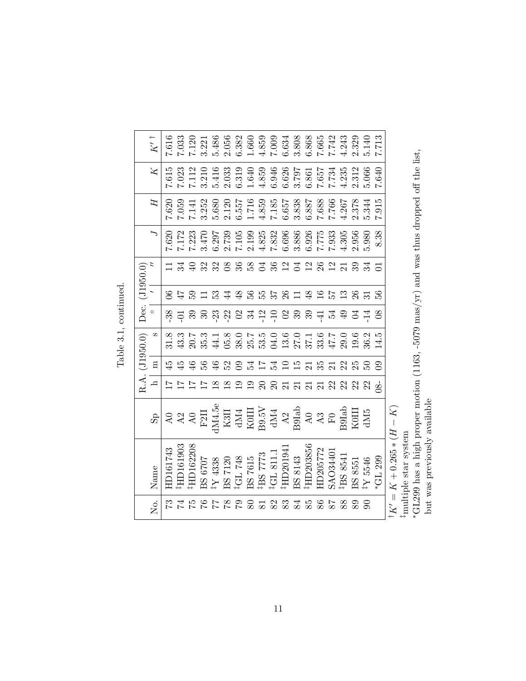|                | $K'$ †       |                                                                                                                                                                                                                                                                                                                                                                              |                |          |                                                                                                                                                                                                                                                                       |                                                |  |  |                             |  |                      |          |         |           |                       |            |               |                            |
|----------------|--------------|------------------------------------------------------------------------------------------------------------------------------------------------------------------------------------------------------------------------------------------------------------------------------------------------------------------------------------------------------------------------------|----------------|----------|-----------------------------------------------------------------------------------------------------------------------------------------------------------------------------------------------------------------------------------------------------------------------|------------------------------------------------|--|--|-----------------------------|--|----------------------|----------|---------|-----------|-----------------------|------------|---------------|----------------------------|
|                | $\mathbb{X}$ |                                                                                                                                                                                                                                                                                                                                                                              |                |          | $7.612$<br>$7.121$ $0.414$ $0.533$ $0.653$ $0.655$ $0.657$ $0.657$ $0.657$ $0.657$ $0.657$ $0.657$ $0.657$ $0.657$ $0.657$ $0.657$ $0.657$ $0.657$ $0.657$ $0.657$ $0.657$ $0.657$ $0.657$ $0.657$ $0.657$ $0.657$ $0.657$ $0.6$                                      |                                                |  |  |                             |  |                      |          |         |           | 2.312                 | 5.066      | 040           |                            |
|                | Ħ            |                                                                                                                                                                                                                                                                                                                                                                              | 7.620<br>7.059 |          | $\begin{array}{l} 7.141\\ 7.352\\ 3.680\\ 2.557\\ 4.859\\ 6.557\\ 7.489\\ 8.838\\ 7.680\\ 8.838\\ 7.680\\ 7.760\\ 8.838\\ 7.766\\ 7.766\\ 7.437\\ 8.378\\ 7.437\\ 8.378\\ 2.378\\ 2.378\\ 2.378\\ 2.378\\ 2.378\\ 2.378\\ 2.378\\ 2.378\\ 2.378\\ 2.378\\ 2.378\\ 2.$ |                                                |  |  |                             |  |                      |          |         |           |                       | 5.344      | .915          |                            |
|                |              |                                                                                                                                                                                                                                                                                                                                                                              |                |          |                                                                                                                                                                                                                                                                       |                                                |  |  |                             |  |                      |          |         |           |                       |            | 8.38          |                            |
| Dec. (J1950.0) | $\mathbf{z}$ |                                                                                                                                                                                                                                                                                                                                                                              | $\mathbb{Z}$   |          |                                                                                                                                                                                                                                                                       |                                                |  |  |                             |  |                      |          |         |           | 39                    |            | $\Xi$         |                            |
|                |              |                                                                                                                                                                                                                                                                                                                                                                              |                |          | $\frac{15}{10}$ $\frac{13}{10}$                                                                                                                                                                                                                                       |                                                |  |  | 4 3 5 5 5 6 7 4 5 5 5 6 7 6 |  |                      |          |         |           |                       |            |               |                            |
|                | $\circ$      |                                                                                                                                                                                                                                                                                                                                                                              |                |          | % 다 8 % % X 3 2 # 2 H 8 % 8 # # # #                                                                                                                                                                                                                                   |                                                |  |  |                             |  |                      |          |         |           |                       | <b>리</b> 구 | 80            |                            |
| $($ $J1950.0)$ | S            |                                                                                                                                                                                                                                                                                                                                                                              |                |          |                                                                                                                                                                                                                                                                       |                                                |  |  |                             |  |                      |          |         |           |                       |            | 14.5          |                            |
|                | $\rm{m}$     |                                                                                                                                                                                                                                                                                                                                                                              |                |          |                                                                                                                                                                                                                                                                       | 5 \$ \$ \$ \$ \$ \$ \$ \$ \$ \$ \$ \$ \$ \$ \$ |  |  |                             |  |                      |          |         |           |                       |            | $\mathbf{S}$  |                            |
| R.A.           | $\mathbf{r}$ |                                                                                                                                                                                                                                                                                                                                                                              |                |          |                                                                                                                                                                                                                                                                       | $\frac{8}{2}$                                  |  |  | ra na ga sa sa sa sa sa     |  |                      |          |         |           |                       |            | $\frac{8}{3}$ |                            |
|                | $\rm{d}_{S}$ | $\begin{tabular}{l} $A$ & $A$ \\ $A$ & $A$ \\ $Y$ & $X$ \\ $X$ & $X$ \\ $X$ & $X$ \\ $X$ & $X$ \\ $X$ & $X$ \\ $X$ & $X$ \\ $X$ & $X$ \\ $X$ & $X$ \\ $X$ & $X$ \\ $X$ & $X$ \\ $X$ & $X$ \\ $X$ & $X$ \\ $X$ & $X$ \\ $X$ & $X$ \\ $X$ & $X$ \\ $X$ & $X$ \\ $X$ & $X$ \\ $X$ & $X$ \\ $X$ & $X$ \\ $X$ & $X$ \\ $X$ & $X$ \\ $X$ & $X$ \\ $X$ & $X$ \\ $X$ & $X$ \\ $X$ &$ |                |          |                                                                                                                                                                                                                                                                       |                                                |  |  |                             |  |                      |          |         |           |                       |            |               |                            |
|                | Name         | HD161743                                                                                                                                                                                                                                                                                                                                                                     | HD161903       | HD162208 | $\begin{array}{ l } \hline \text{BS 6707} \\ \hline \text{183} \\ \text{BS 7120} \\ \text{BS 7120} \\ \text{181 748} \\ \text{182 7615} \\ \text{183 7615} \\ \text{185 7773} \\ \text{186 11.1} \\ \text{187 7615} \\ \text{188 11.1} \end{array}$                   |                                                |  |  |                             |  | BS 8143<br>‡HD203856 | HD205772 | SAO3440 | IF58 SB41 | $\frac{128}{11}$ 8546 |            | *GL 299       | $K' = K + 0.265 * (H - K)$ |
|                | ,<br>Š       |                                                                                                                                                                                                                                                                                                                                                                              |                |          |                                                                                                                                                                                                                                                                       |                                                |  |  |                             |  |                      |          |         |           |                       |            |               |                            |

Table 3.1, continued. <br> <br> $\,$ Table 3.1, continued.

> $\dagger K' = K + 0.265 * (H - K)$ ‡multiple star system

 $\begin{array}{l} \text{A} & -\text{A} & -\text{A} & \text{A} \\ \text{f}\text{multiplet star system} \\ \text{*GL299 has a high proper motion (1163, -5079 mass/yr) and was thus dropped off the list, but was previously available} \end{array}$ ∗GL299 has a high proper motion (1163, -5079 mas/yr) and was thus dropped off the list, but was previously available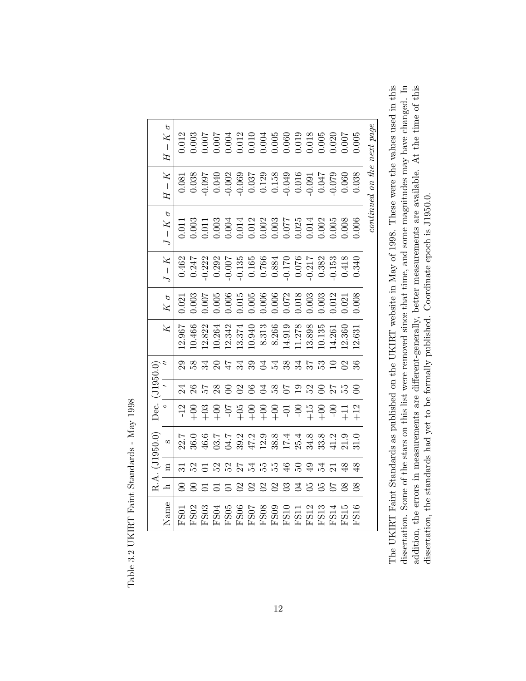|                | р<br>$H-K$            | 0.12        |        |               |                  |                 |                |              |              | $\begin{array}{l} 0.003\\ 0.007\\ 0.007\\ 0.004\\ 0.012\\ 0.004\\ 0.005\\ 0.006\\ 0.007\\ 0.008\\ 0.009\\ 0.000\\ 0.000\\ 0.000\\ 0.000\\ 0.005\\ 0.005\\ 0.005\\ 0.006\\ 0.005\\ 0.006\\ 0.006\\ 0.007\\ 0.008\\ 0.000\\ 0.000\\ 0.000\\ 0.000\\ 0.000\\ 0.000\\ 0.$                               |                     |                                |             |        |                     |                |                        |                            |
|----------------|-----------------------|-------------|--------|---------------|------------------|-----------------|----------------|--------------|--------------|-----------------------------------------------------------------------------------------------------------------------------------------------------------------------------------------------------------------------------------------------------------------------------------------------------|---------------------|--------------------------------|-------------|--------|---------------------|----------------|------------------------|----------------------------|
|                | $\mathbb{X}$<br>$H -$ |             |        |               |                  |                 |                |              |              |                                                                                                                                                                                                                                                                                                     |                     |                                |             |        |                     |                |                        | continued on the next page |
|                | $\sigma$<br>$J-K$     |             |        |               |                  |                 |                |              |              | $\begin{array}{l} 0.011 \\ 0.003 \\ 0.003 \\ 0.004 \\ 0.000 \\ 0.011 \\ 0.000 \\ 0.000 \\ 0.000 \\ 0.000 \\ 0.000 \\ 0.000 \\ 0.000 \\ 0.000 \\ 0.000 \\ 0.000 \\ 0.000 \\ 0.000 \\ 0.000 \\ 0.000 \\ 0.000 \\ 0.000 \\ 0.000 \\ 0.000 \\ 0.000 \\ 0.000 \\ 0.000 \\ 0.000 \\ 0.000 \\ 0.000 \\ 0.$ |                     |                                |             |        |                     |                |                        |                            |
|                | $J-K\,$               | 0.462       | 0.247  | $-0.222$      |                  |                 |                |              |              | $\begin{array}{c} 0.292 \\ 0.007 \\ -0.135 \\ 0.165 \\ 0.076 \\ 0.084 \\ 0.070 \\ -0.070 \\ 0.032 \\ 0.032 \\ 0.0418 \\ \end{array}$                                                                                                                                                                |                     |                                |             |        |                     |                | 0.340                  |                            |
|                | $K$ $\sigma$          | 0.021       | 0.003  | 700(          | 0.005            |                 |                |              |              | $\begin{array}{l} 0.006 \\ 0.015 \\ 0.005 \\ 0.006 \\ 0.006 \\ 0.072 \\ 0.018 \\ 0.018 \\ 0.003 \end{array}$                                                                                                                                                                                        |                     |                                |             | 0.003  | 0.12                | 0.021          | 0.008                  |                            |
|                | $\overline{X}$        | 12.967      | 10.466 | 12.822        | 10.264           | 12.342          | 13.374         | 10.940       | 8.313        | 8.266                                                                                                                                                                                                                                                                                               | 14.919              | 1.278                          | 13.898      | 10.135 | 14.261              | 12.360         | $\lfloor 2.63 \rfloor$ |                            |
|                |                       |             | 58     | 34            | $\Omega$         | $\overline{47}$ | 34             | 39           |              | 34.38                                                                                                                                                                                                                                                                                               |                     | 34                             | 57          | ္မွာ   |                     | $\mathfrak{D}$ |                        |                            |
| Dec. (J1950.0) |                       |             | 26     |               | 28               | $\infty$        | $\mathfrak{S}$ | $\infty$     | Z,           | 58                                                                                                                                                                                                                                                                                                  |                     | $\mathbf{0}$                   | 52          |        | 77                  |                |                        |                            |
|                | $\circ$               |             |        | $\frac{8}{1}$ |                  |                 |                |              |              |                                                                                                                                                                                                                                                                                                     |                     | $-0.5 + 0.0 + 0.0 + 0.0 + 0.0$ |             |        | $-0c$               | $\Xi$          | $+12$                  |                            |
| (0.0550)       | S                     |             |        |               |                  |                 |                |              |              |                                                                                                                                                                                                                                                                                                     |                     |                                |             |        | 11.2                | 21.9           |                        |                            |
|                | $\Xi$                 |             |        |               | $\Omega$         | 52              |                | 24           | 55           | р5<br>Си                                                                                                                                                                                                                                                                                            | ≌                   | S                              | ₽           | 24     | $\overline{\Omega}$ | ≆              | ఞ                      |                            |
| R.A.           | ⊐                     |             |        |               |                  | నె              | $\mathbf{S}$   | $\mathbf{C}$ | $\mathbf{S}$ | $\mathbf{S}$                                                                                                                                                                                                                                                                                        | $\mathbb{S}$        | Z                              | 95          | 95     |                     | 8 <sup>o</sup> | $8^{\circ}$            |                            |
|                | Name                  | <b>ESSI</b> | FSSO2  | FS03          | FS <sub>04</sub> | FS05            | <b>FS06</b>    |              |              | FS07<br>FS08<br>FS09                                                                                                                                                                                                                                                                                | <b>FS10</b><br>FS11 |                                | <b>FS12</b> | FS13   | FS14                | FS15           | FS16                   |                            |

The UKIRT Faint Standards as published on the UKIRT website in May of 1998. These were the values used in this dissertation. Some of the stars on this list were removed since that time, and some magnitudes may have changed. In addition, the errors in measurements are different-generally, better measurements are available. At the time of this The UKIRT Faint Standards as published on the UKIRT website in May of 1998. These were the values used in this dissertation. Some of the stars on this list were removed since that time, and some magnitudes may have changed. In addition, the errors in measurements are different-generally, better measurements are available. At the time of this dissertation, the standards had yet to be formally published. Coordinate epoch is J1950.0. dissertation, the standards had yet to be formally published. Coordinate epoch is J1950.0.

Table 3.2 UKIRT Faint Standards - May 1998 Table 3.2 UKIRT Faint Standards - May 1998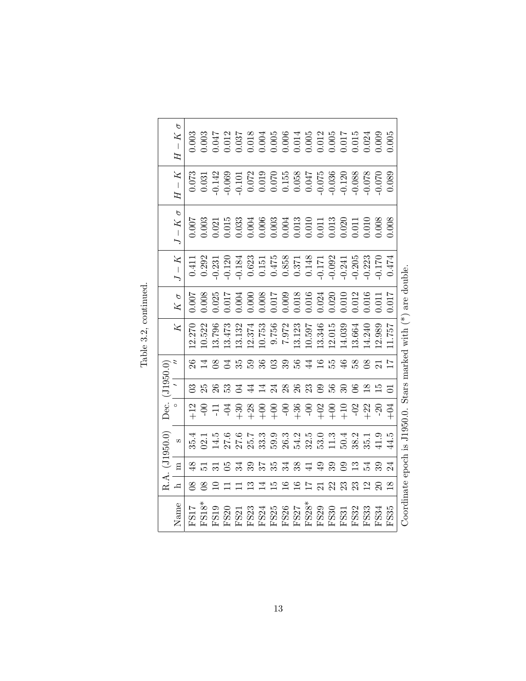|                | $- K$<br>H<br>$H-K$ | 0.073      | 0.031          |        |        |      |                                  |                          |              | $\begin{array}{l} 0.003\\ 0.003\\ 0.012\\ 0.012\\ 0.003\\ 0.000\\ 0.000\\ 0.000\\ 0.000\\ 0.000\\ 0.000\\ 0.000\\ 0.000\\ 0.000\\ 0.000\\ 0.000\\ 0.000\\ 0.000\\ 0.000\\ 0.000\\ 0.000\\ 0.000\\ 0.000\\ 0.000\\ 0.000\\ 0.000\\ 0.000\\ 0.000\\ 0.000\\ 0.000\\ 0.$<br>$\begin{array}{l} 1.142 \\ 0.060 \\ 0.070 \\ 0.070 \\ 0.070 \\ 0.070 \\ 0.070 \\ 0.070 \\ 0.070 \\ 0.070 \\ 0.070 \\ 0.070 \\ 0.070 \\ 0.070 \\ 0.070 \\ 0.070 \\ 0.070 \\ 0.008 \\ 0.008 \\ 0.008 \\ 0.008 \\ 0.008 \\ 0.000 \\ 0.000 \\ 0.000 \\ 0.000 \\ 0.000 \\ 0.000 \\ 0.000 \\ 0.000 \\ 0.$ |            |        |                                                                                                                                                                                                                                                                                                                                       |                                                     |        |               |                          |                                             |               |
|----------------|---------------------|------------|----------------|--------|--------|------|----------------------------------|--------------------------|--------------|------------------------------------------------------------------------------------------------------------------------------------------------------------------------------------------------------------------------------------------------------------------------------------------------------------------------------------------------------------------------------------------------------------------------------------------------------------------------------------------------------------------------------------------------------------------------------|------------|--------|---------------------------------------------------------------------------------------------------------------------------------------------------------------------------------------------------------------------------------------------------------------------------------------------------------------------------------------|-----------------------------------------------------|--------|---------------|--------------------------|---------------------------------------------|---------------|
|                | р<br>$- K$          | 100.0      |                |        |        |      |                                  |                          |              | $\begin{array}{l} 0.003 \\ 0.01 \\ 0.01 \\ 0.03 \\ 0.000 \\ 0.000 \\ 0.000 \\ 0.001 \\ 0.001 \\ 0.001 \\ 0.001 \\ 0.01 \\ 0.01 \\ 0.000 \\ 0.000 \\ 0.000 \\ 0.000 \\ 0.000 \\ 0.000 \\ 0.000 \\ 0.000 \\ 0.000 \\ 0.000 \\ 0.000 \\ 0.000 \\ 0.000 \\ 0.000 \\ 0.000 \\ 0.000 \\ 0.000 \\ 0.000 \\ $                                                                                                                                                                                                                                                                        |            |        |                                                                                                                                                                                                                                                                                                                                       |                                                     |        |               |                          |                                             |               |
|                | $I-K$               |            | 0.411<br>0.292 |        |        |      |                                  |                          |              | $\begin{array}{l} 0.231 \\ 0.120 \\ 0.623 \\ 0.61 \\ 0.623 \\ 0.71 \\ 0.71 \\ 0.71 \\ 0.71 \\ 0.71 \\ 0.71 \\ 0.71 \\ 0.71 \\ 0.71 \\ 0.71 \\ 0.71 \\ 0.71 \\ 0.71 \\ 0.71 \\ 0.71 \\ 0.71 \\ 0.71 \\ 0.71 \\ 0.71 \\ 0.71 \\ 0.71 \\ 0.71 \\ 0.71 \\ 0.71 \\ 0.71 \\ 0.71 \\ 0.71 \\ 0.71 \\ 0.71 \\ 0.71$                                                                                                                                                                                                                                                                  |            |        |                                                                                                                                                                                                                                                                                                                                       |                                                     |        |               |                          |                                             | 0.474         |
|                | $K\sigma$           | 1007       | 0.008          |        |        |      |                                  |                          |              | $\begin{array}{l} 0.025\\ 0.017\\ 0.000\\ 0.000\\ 0.000\\ 0.000\\ 0.017\\ 0.000\\ 0.017\\ 0.000\\ 0.010\\ 0.010\\ 0.001\\ 0.012\\ 0.012\\ 0.012\\ 0.012\\ 0.012\\ 0.012\\ 0.013\\ 0.014\\ 0.012\\ 0.013\\ 0.014\\ 0.014\\ 0.014\\ 0.012\\ 0.014\\ 0.014\\ 0.010\\ 0.$                                                                                                                                                                                                                                                                                                        |            |        |                                                                                                                                                                                                                                                                                                                                       |                                                     |        |               | 0.016                    | 0.011                                       | 10.017        |
|                | Z                   | 12.270     | 10.522         | 13.796 | 13.473 |      | $13.132$<br>$12.374$<br>$10.753$ |                          | 9.756        | 7.972                                                                                                                                                                                                                                                                                                                                                                                                                                                                                                                                                                        | 13.123     | 10.597 | 13.346                                                                                                                                                                                                                                                                                                                                | [2.015]                                             | 14.039 | 13.664        | 14.240                   | 12.989                                      | 757           |
|                |                     |            |                |        |        | 35   | 59                               | 36                       | $\mathbb{S}$ | 39                                                                                                                                                                                                                                                                                                                                                                                                                                                                                                                                                                           | 56         | $\c4$  | 16                                                                                                                                                                                                                                                                                                                                    | 55                                                  | 46     | $\frac{8}{5}$ | $\infty$                 |                                             |               |
|                |                     |            |                |        |        |      | ₹                                |                          |              | $^{28}$                                                                                                                                                                                                                                                                                                                                                                                                                                                                                                                                                                      | 26         | 23     | റ്റ                                                                                                                                                                                                                                                                                                                                   | 9g                                                  |        |               |                          |                                             |               |
| Dec. (J1950.0) | O                   |            | ခု             |        | Ş      |      |                                  | $7.30$<br>$+2.8$<br>$+1$ | $-00$        |                                                                                                                                                                                                                                                                                                                                                                                                                                                                                                                                                                              | $-0.6 + 1$ | $-00$  | $+02$                                                                                                                                                                                                                                                                                                                                 | $rac{6}{11}$                                        |        | $\partial$    | $+22$                    | $-20$                                       | $+04$         |
| $($ $J1950.0)$ | S                   | 35.4       | 02.1           | 14.5   | 27.6   | 27.6 | 25.7                             | 33.3                     | 59.9         | 26.3                                                                                                                                                                                                                                                                                                                                                                                                                                                                                                                                                                         | 54.2       | 32.5   |                                                                                                                                                                                                                                                                                                                                       | $\begin{array}{c} 53.0 \\ 11.3 \\ 50.4 \end{array}$ |        | 38.2          |                          | $\begin{array}{c} 35.1 \\ 41.9 \end{array}$ | 44.5          |
|                | Ξ                   |            |                |        |        |      |                                  |                          |              | 34                                                                                                                                                                                                                                                                                                                                                                                                                                                                                                                                                                           | 38         |        |                                                                                                                                                                                                                                                                                                                                       |                                                     |        |               |                          |                                             |               |
| R.A.           | ᅼ                   | $^{\rm 8}$ | $\infty$       |        |        |      |                                  |                          |              | $\overline{16}$                                                                                                                                                                                                                                                                                                                                                                                                                                                                                                                                                              |            |        |                                                                                                                                                                                                                                                                                                                                       | 22                                                  | 23     | 23            | $\overline{\mathcal{C}}$ |                                             | $\frac{8}{1}$ |
|                | Name                | FS17       | FS18*          | FS19   |        |      |                                  |                          |              | FS20<br>FS21<br>FS22456<br>FFS2527<br>FFFFFFFF                                                                                                                                                                                                                                                                                                                                                                                                                                                                                                                               |            |        | $\begin{array}{l} \tt{F}S28^* \\ \tt{F}S29 \\ \tt{F}S30 \\ \tt{F}S31 \\ \tt{F}S32 \\ \tt{F}S32 \\ \tt{F}S32 \\ \tt{F}S32 \\ \tt{F}S32 \\ \tt{F}S32 \\ \tt{F}S32 \\ \tt{F}S32 \\ \tt{F}S32 \\ \tt{F}S32 \\ \tt{F}S32 \\ \tt{F}S32 \\ \tt{F}S32 \\ \tt{F}S32 \\ \tt{F}S32 \\ \tt{F}S32 \\ \tt{F}S32 \\ \tt{F}S32 \\ \tt{F}S32 \\ \tt{F$ |                                                     |        |               | FS33                     | FS34                                        | FS35          |

Table 3.2, continued. Table 3.2, continued.

13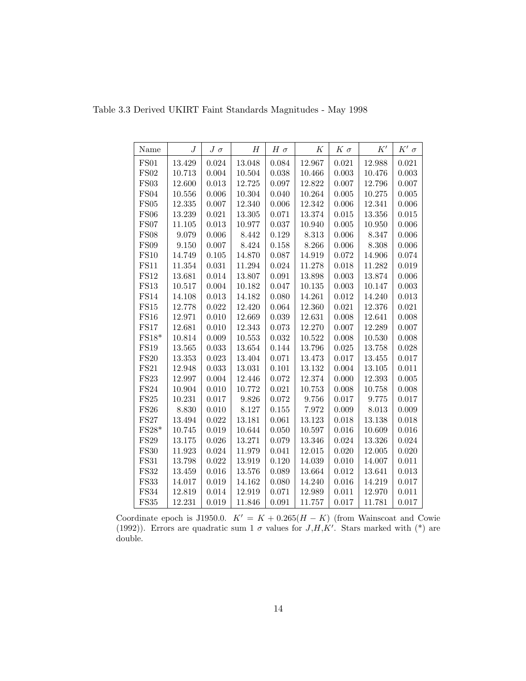| Name                  | $\boldsymbol{J}$ | $J~\sigma$ | Н          | $H \sigma$  | К          | $K\sigma$ | K'         | $K'$ $\sigma$ |
|-----------------------|------------------|------------|------------|-------------|------------|-----------|------------|---------------|
| <b>FS01</b>           | 13.429           | 0.024      | 13.048     | 0.084       | 12.967     | 0.021     | 12.988     | 0.021         |
| FS02                  | 10.713           | 0.004      | 10.504     | 0.038       | 10.466     | 0.003     | 10.476     | 0.003         |
| FS03                  | 12.600           | 0.013      | 12.725     | $0.097\,$   | 12.822     | 0.007     | 12.796     | 0.007         |
| FS04                  | 10.556           | 0.006      | 10.304     | 0.040       | 10.264     | 0.005     | 10.275     | 0.005         |
| FS05                  | 12.335           | 0.007      | 12.340     | 0.006       | 12.342     | 0.006     | 12.341     | 0.006         |
| FS06                  | $13.239\,$       | 0.021      | 13.305     | 0.071       | 13.374     | 0.015     | $13.356\,$ | 0.015         |
| <b>FS07</b>           | 11.105           | 0.013      | 10.977     | $0.037\,$   | 10.940     | 0.005     | 10.950     | 0.006         |
| <b>FS08</b>           | 9.079            | 0.006      | 8.442      | 0.129       | 8.313      | 0.006     | 8.347      | $0.006\,$     |
| <b>FS09</b>           | 9.150            | 0.007      | 8.424      | 0.158       | 8.266      | 0.006     | 8.308      | 0.006         |
| FS10                  | 14.749           | 0.105      | 14.870     | 0.087       | 14.919     | 0.072     | 14.906     | 0.074         |
| FS11                  | 11.354           | 0.031      | 11.294     | 0.024       | 11.278     | 0.018     | 11.282     | 0.019         |
| FS12                  | 13.681           | 0.014      | 13.807     | 0.091       | 13.898     | 0.003     | $13.874\,$ | 0.006         |
| <b>FS13</b>           | 10.517           | 0.004      | 10.182     | 0.047       | 10.135     | 0.003     | 10.147     | 0.003         |
| $\operatorname{FS14}$ | 14.108           | 0.013      | 14.182     | 0.080       | 14.261     | 0.012     | 14.240     | $\,0.013\,$   |
| $\operatorname{FS15}$ | $12.778\,$       | 0.022      | 12.420     | 0.064       | 12.360     | 0.021     | 12.376     | 0.021         |
| <b>FS16</b>           | 12.971           | 0.010      | 12.669     | $\,0.039\,$ | 12.631     | 0.008     | 12.641     | 0.008         |
| <b>FS17</b>           | 12.681           | 0.010      | 12.343     | 0.073       | 12.270     | 0.007     | 12.289     | 0.007         |
| $FS18*$               | 10.814           | $0.009\,$  | 10.553     | $\,0.032\,$ | 10.522     | 0.008     | 10.530     | 0.008         |
| <b>FS19</b>           | 13.565           | 0.033      | 13.654     | 0.144       | 13.796     | 0.025     | 13.758     | $0.028\,$     |
| <b>FS20</b>           | 13.353           | 0.023      | 13.404     | 0.071       | 13.473     | 0.017     | 13.455     | 0.017         |
| <b>FS21</b>           | 12.948           | 0.033      | $13.031\,$ | 0.101       | 13.132     | 0.004     | 13.105     | 0.011         |
| $\operatorname{FS23}$ | 12.997           | 0.004      | 12.446     | 0.072       | 12.374     | 0.000     | 12.393     | 0.005         |
| FS24                  | 10.904           | 0.010      | 10.772     | $\,0.021\,$ | 10.753     | 0.008     | 10.758     | 0.008         |
| FS25                  | 10.231           | 0.017      | 9.826      | 0.072       | 9.756      | 0.017     | 9.775      | 0.017         |
| FS26                  | 8.830            | 0.010      | 8.127      | 0.155       | 7.972      | 0.009     | 8.013      | 0.009         |
| <b>FS27</b>           | $13.494\,$       | 0.022      | $13.181\,$ | 0.061       | $13.123\,$ | 0.018     | 13.138     | 0.018         |
| $FS28*$               | 10.745           | $0.019\,$  | 10.644     | $0.050\,$   | 10.597     | 0.016     | 10.609     | 0.016         |
| <b>FS29</b>           | 13.175           | 0.026      | 13.271     | $0.079\,$   | 13.346     | 0.024     | 13.326     | 0.024         |
| <b>FS30</b>           | 11.923           | 0.024      | 11.979     | 0.041       | 12.015     | 0.020     | 12.005     | 0.020         |
| <b>FS31</b>           | 13.798           | 0.022      | 13.919     | 0.120       | 14.039     | 0.010     | 14.007     | 0.011         |
| <b>FS32</b>           | 13.459           | 0.016      | 13.576     | 0.089       | 13.664     | 0.012     | 13.641     | 0.013         |
| <b>FS33</b>           | 14.017           | 0.019      | 14.162     | 0.080       | 14.240     | 0.016     | 14.219     | 0.017         |
| $\operatorname{FS34}$ | 12.819           | 0.014      | 12.919     | $0.071\,$   | 12.989     | 0.011     | 12.970     | 0.011         |
| <b>FS35</b>           | 12.231           | 0.019      | 11.846     | 0.091       | 11.757     | 0.017     | 11.781     | 0.017         |

Table 3.3 Derived UKIRT Faint Standards Magnitudes - May 1998

Coordinate epoch is J1950.0.  $K' = K + 0.265(H - K)$  (from Wainscoat and Cowie (1992)). Errors are quadratic sum 1  $\sigma$  values for J,H,K'. Stars marked with (\*) are double.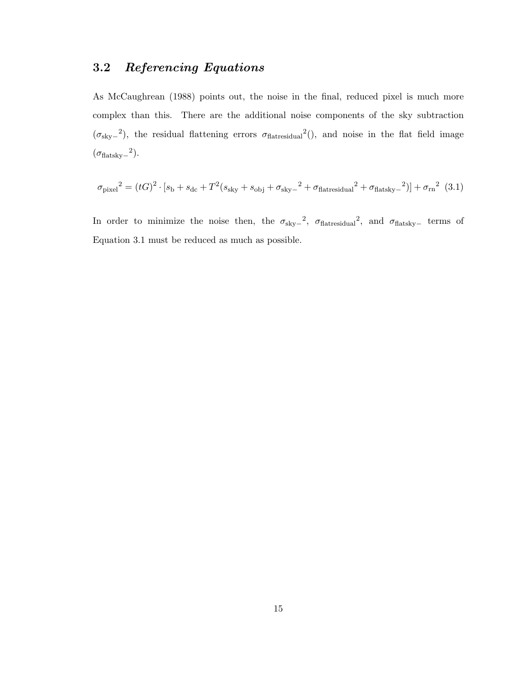## 3.2 Referencing Equations

As McCaughrean (1988) points out, the noise in the final, reduced pixel is much more complex than this. There are the additional noise components of the sky subtraction  $(\sigma_{\rm sky}^2)$ , the residual flattening errors  $\sigma_{\rm flatresidual}^2$  (), and noise in the flat field image  $(\sigma_{\rm flat sky-}^2)$ .

$$
\sigma_{\text{pixel}}^2 = (tG)^2 \cdot [s_{\text{b}} + s_{\text{dc}} + T^2(s_{\text{sky}} + s_{\text{obj}} + \sigma_{\text{sky}})^2 + \sigma_{\text{flatresidual}}^2 + \sigma_{\text{flatsky}}^2)] + \sigma_{\text{rn}}^2
$$
 (3.1)

In order to minimize the noise then, the  $\sigma_{\rm sky-}$ <sup>2</sup>,  $\sigma_{\rm flatresidual}$ <sup>2</sup>, and  $\sigma_{\rm flatsky-}$  terms of Equation 3.1 must be reduced as much as possible.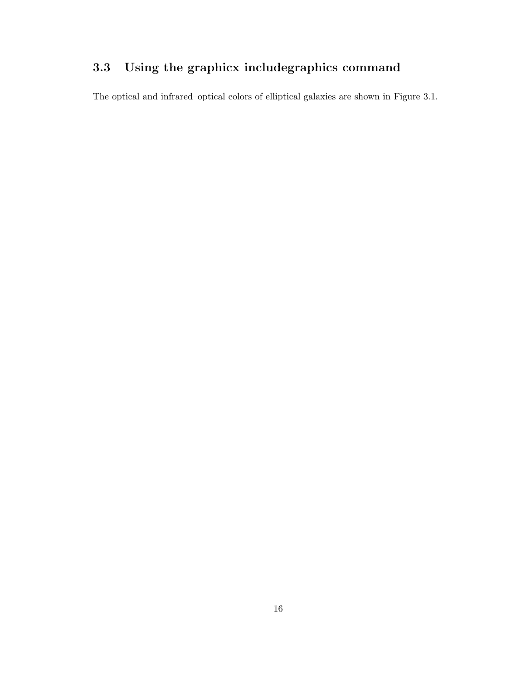# 3.3 Using the graphicx includegraphics command

The optical and infrared–optical colors of elliptical galaxies are shown in Figure 3.1.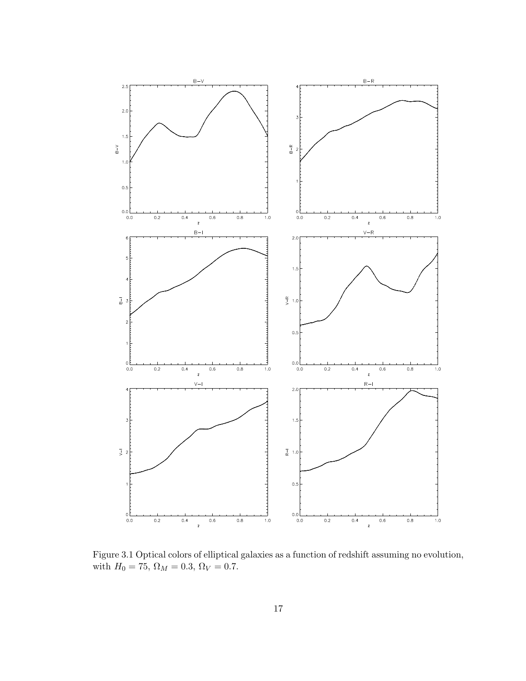

Figure 3.1 Optical colors of elliptical galaxies as a function of redshift assuming no evolution, with  $H_0=75,\,\Omega_M=0.3,\,\Omega_V=0.7.$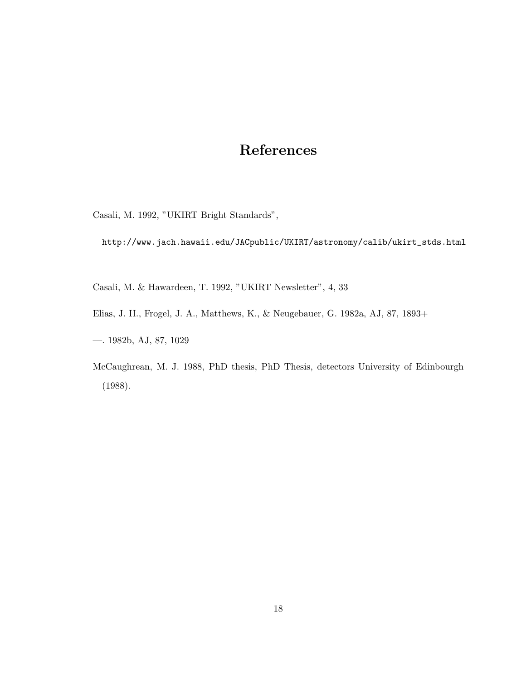# References

Casali, M. 1992, "UKIRT Bright Standards",

http://www.jach.hawaii.edu/JACpublic/UKIRT/astronomy/calib/ukirt\_stds.html

Casali, M. & Hawardeen, T. 1992, "UKIRT Newsletter", 4, 33

Elias, J. H., Frogel, J. A., Matthews, K., & Neugebauer, G. 1982a, AJ, 87, 1893+

—. 1982b, AJ, 87, 1029

McCaughrean, M. J. 1988, PhD thesis, PhD Thesis, detectors University of Edinbourgh (1988).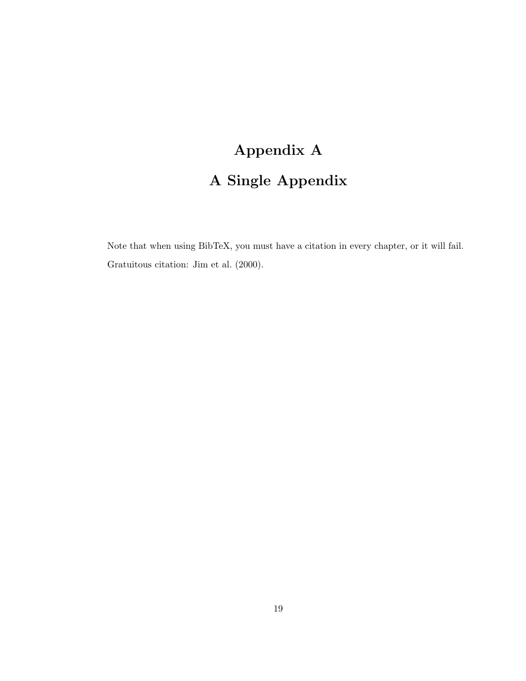# Appendix A A Single Appendix

Note that when using BibTeX, you must have a citation in every chapter, or it will fail. Gratuitous citation: Jim et al. (2000).